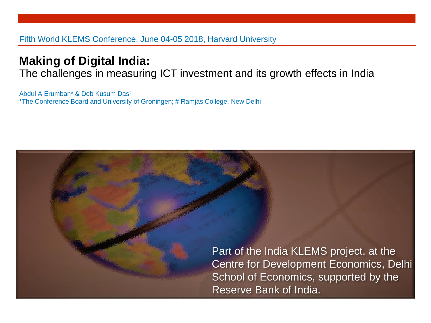#### Fifth World KLEMS Conference, June 04-05 2018, Harvard University

#### **Making of Digital India:**

The challenges in measuring ICT investment and its growth effects in India

Abdul A Erumban\* & Deb Kusum Das# \*The Conference Board and University of Groningen; # Ramjas College, New Delhi

> Part of the India KLEMS project, at the Centre for Development Economics, Delhi School of Economics, supported by the Reserve Bank of India.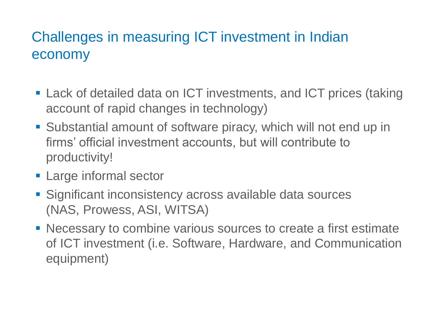# Challenges in measuring ICT investment in Indian economy

- Lack of detailed data on ICT investments, and ICT prices (taking account of rapid changes in technology)
- Substantial amount of software piracy, which will not end up in firms' official investment accounts, but will contribute to productivity!
- **Example informal sector**
- Significant inconsistency across available data sources (NAS, Prowess, ASI, WITSA)
- Necessary to combine various sources to create a first estimate of ICT investment (i.e. Software, Hardware, and Communication equipment)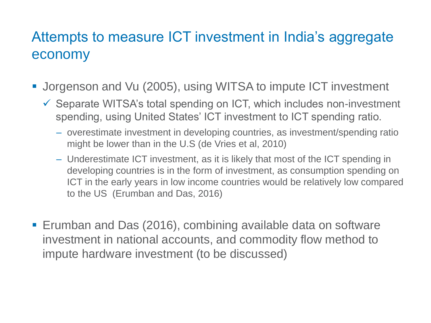## Attempts to measure ICT investment in India's aggregate economy

- Jorgenson and Vu (2005), using WITSA to impute ICT investment
	- ✓ Separate WITSA's total spending on ICT, which includes non-investment spending, using United States' ICT investment to ICT spending ratio.
		- overestimate investment in developing countries, as investment/spending ratio might be lower than in the U.S (de Vries et al, 2010)
		- Underestimate ICT investment, as it is likely that most of the ICT spending in developing countries is in the form of investment, as consumption spending on ICT in the early years in low income countries would be relatively low compared to the US (Erumban and Das, 2016)
- Erumban and Das (2016), combining available data on software investment in national accounts, and commodity flow method to impute hardware investment (to be discussed)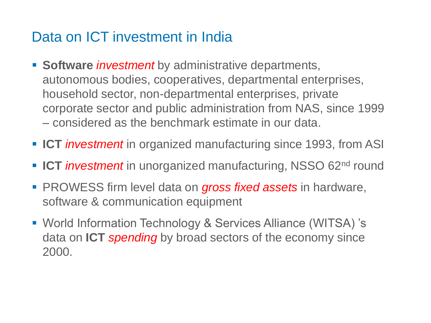## Data on ICT investment in India

- **Software** *investment* by administrative departments, autonomous bodies, cooperatives, departmental enterprises, household sector, non-departmental enterprises, private corporate sector and public administration from NAS, since 1999 – considered as the benchmark estimate in our data.
- ICT *investment* in organized manufacturing since 1993, from ASI
- ICT *investment* in unorganized manufacturing, NSSO 62<sup>nd</sup> round
- **PROWESS firm level data on gross fixed assets in hardware,** software & communication equipment
- World Information Technology & Services Alliance (WITSA) 's data on **ICT** *spending* by broad sectors of the economy since 2000.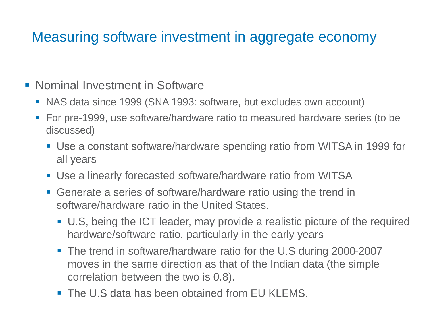# Measuring software investment in aggregate economy

- Nominal Investment in Software
	- NAS data since 1999 (SNA 1993: software, but excludes own account)
	- For pre-1999, use software/hardware ratio to measured hardware series (to be discussed)
		- Use a constant software/hardware spending ratio from WITSA in 1999 for all years
		- **Use a linearly forecasted software/hardware ratio from WITSA**
		- Generate a series of software/hardware ratio using the trend in software/hardware ratio in the United States.
			- U.S, being the ICT leader, may provide a realistic picture of the required hardware/software ratio, particularly in the early years
			- The trend in software/hardware ratio for the U.S during 2000-2007 moves in the same direction as that of the Indian data (the simple correlation between the two is 0.8).
			- The U.S data has been obtained from EU KLEMS.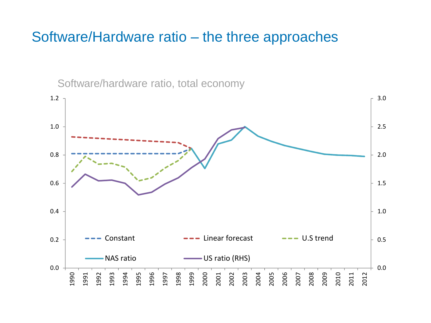### Software/Hardware ratio – the three approaches

Software/hardware ratio, total economy

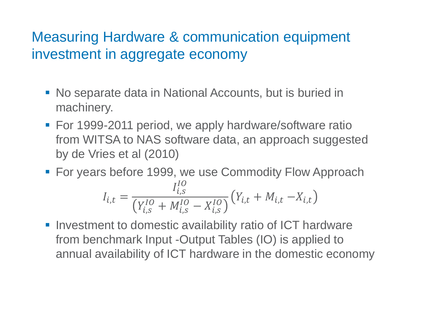# Measuring Hardware & communication equipment investment in aggregate economy

- No separate data in National Accounts, but is buried in machinery.
- For 1999-2011 period, we apply hardware/software ratio from WITSA to NAS software data, an approach suggested by de Vries et al (2010)
- **For years before 1999, we use Commodity Flow Approach**

$$
I_{i,t} = \frac{I_{i,s}^{IO}}{\left(Y_{i,s}^{IO} + M_{i,s}^{IO} - X_{i,s}^{IO}\right)} \left(Y_{i,t} + M_{i,t} - X_{i,t}\right)
$$

■ Investment to domestic availability ratio of ICT hardware from benchmark Input -Output Tables (IO) is applied to annual availability of ICT hardware in the domestic economy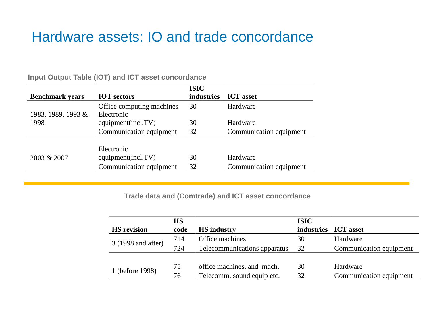### Hardware assets: IO and trade concordance

|                        |                           | <b>ISIC</b>       |                         |
|------------------------|---------------------------|-------------------|-------------------------|
| <b>Benchmark</b> years | <b>IOT</b> sectors        | <b>industries</b> | <b>ICT</b> asset        |
|                        | Office computing machines | 30                | Hardware                |
| 1983, 1989, 1993 &     | Electronic                |                   |                         |
| 1998                   | equipment(incl.TV)        | 30                | Hardware                |
|                        | Communication equipment   | 32                | Communication equipment |
|                        |                           |                   |                         |
|                        | Electronic                |                   |                         |
| 2003 & 2007            | equipment(incl.TV)        | 30                | Hardware                |
|                        | Communication equipment   | 32                | Communication equipment |

**Input Output Table (IOT) and ICT asset concordance** 

**Trade data and (Comtrade) and ICT asset concordance**

|                    | <b>HS</b> |                              | <b>ISIC</b>       |                         |
|--------------------|-----------|------------------------------|-------------------|-------------------------|
| <b>HS</b> revision | code      | <b>HS</b> industry           | <b>industries</b> | <b>ICT</b> asset        |
| 3 (1998 and after) | 714       | Office machines              | 30                | Hardware                |
|                    | 724       | Telecommunications apparatus | 32                | Communication equipment |
|                    |           |                              |                   |                         |
| 1 (before 1998)    | 75        | office machines, and mach.   | 30                | Hardware                |
|                    | 76        | Telecomm, sound equip etc.   | 32                | Communication equipment |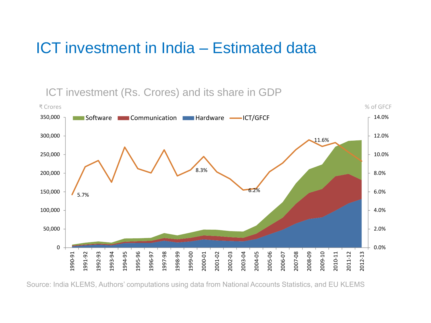# ICT investment in India – Estimated data

ICT investment (Rs. Crores) and its share in GDP



Source: India KLEMS, Authors' computations using data from National Accounts Statistics, and EU KLEMS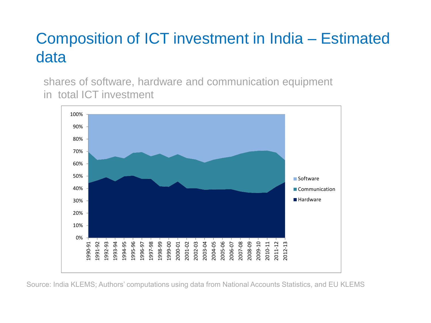# Composition of ICT investment in India – Estimated data

shares of software, hardware and communication equipment in total ICT investment



Source: India KLEMS; Authors' computations using data from National Accounts Statistics, and EU KLEMS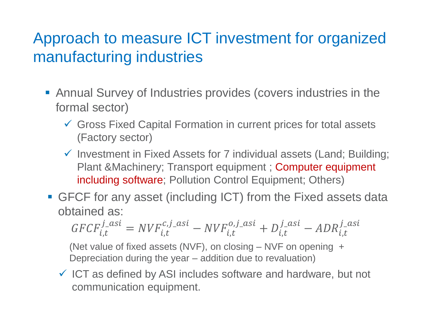# Approach to measure ICT investment for organized manufacturing industries

- Annual Survey of Industries provides (covers industries in the formal sector)
	- ✓ Gross Fixed Capital Formation in current prices for total assets (Factory sector)
	- ✓ Investment in Fixed Assets for 7 individual assets (Land; Building; Plant &Machinery; Transport equipment ; Computer equipment including software; Pollution Control Equipment; Others)
- **GFCF for any asset (including ICT) from the Fixed assets data** obtained as:

$$
GFCF_{i,t}^{j\_asi} = NVF_{i,t}^{c,j\_asi} - NVF_{i,t}^{o,j\_asi} + D_{i,t}^{j\_asi} - ADR_{i,t}^{j\_asi}
$$

(Net value of fixed assets (NVF), on closing – NVF on opening + Depreciation during the year – addition due to revaluation)

 $\checkmark$  ICT as defined by ASI includes software and hardware, but not communication equipment.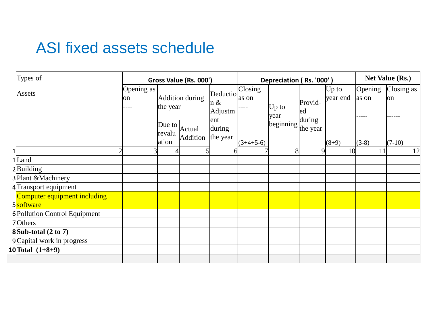# ASI fixed assets schedule

| Types of                                   |                          | Gross Value (Rs. 000')            |                    |                            |                  | Depreciation (Rs. '000')                           |               |                     |                  | Net Value (Rs.)   |  |
|--------------------------------------------|--------------------------|-----------------------------------|--------------------|----------------------------|------------------|----------------------------------------------------|---------------|---------------------|------------------|-------------------|--|
| Assets                                     | Opening as<br>on<br>---- | the year                          | Addition during    | Deductio<br>n &<br>Adjustm | Closing<br>as on | $Up$ to                                            | Provid-<br>ed | $Up$ to<br>year end | Opening<br>as on | Closing as<br>lon |  |
|                                            |                          | Due to $\vert$<br>revalu<br>ation | Actual<br>Addition | ent<br>during<br>the year  | $(3+4+5-6)$      | year<br>$\left  \text{beginning} \right $ the year | during        | $(8+9)$             | -----<br>$(3-8)$ | $(7-10)$          |  |
|                                            | ◠                        |                                   |                    | h                          |                  | 8                                                  |               | 10                  | 11               | 12                |  |
| 1 Land                                     |                          |                                   |                    |                            |                  |                                                    |               |                     |                  |                   |  |
| 2 Building                                 |                          |                                   |                    |                            |                  |                                                    |               |                     |                  |                   |  |
| 3 Plant & Machinery                        |                          |                                   |                    |                            |                  |                                                    |               |                     |                  |                   |  |
| 4 Transport equipment                      |                          |                                   |                    |                            |                  |                                                    |               |                     |                  |                   |  |
| Computer equipment including<br>5 software |                          |                                   |                    |                            |                  |                                                    |               |                     |                  |                   |  |
| <b>6 Pollution Control Equipment</b>       |                          |                                   |                    |                            |                  |                                                    |               |                     |                  |                   |  |
| 7 Others                                   |                          |                                   |                    |                            |                  |                                                    |               |                     |                  |                   |  |
| <b>8 Sub-total (2 to 7)</b>                |                          |                                   |                    |                            |                  |                                                    |               |                     |                  |                   |  |
| 9 Capital work in progress                 |                          |                                   |                    |                            |                  |                                                    |               |                     |                  |                   |  |
| 10 Total $(1+8+9)$                         |                          |                                   |                    |                            |                  |                                                    |               |                     |                  |                   |  |
|                                            |                          |                                   |                    |                            |                  |                                                    |               |                     |                  |                   |  |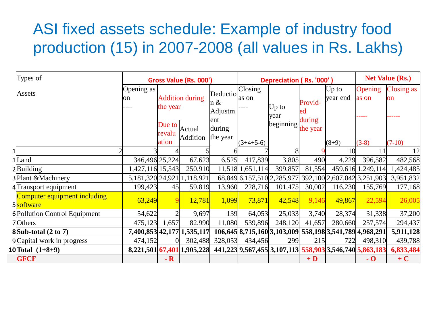# ASI fixed assets schedule: Example of industry food production (15) in 2007-2008 (all values in Rs. Lakhs)

| Types of                                   |                  | Gross Value (Rs. 000')    |                                 | Depreciation (Rs. '000')   |                  |                                                         |                    | <b>Net Value (Rs.)</b> |                             |                                |
|--------------------------------------------|------------------|---------------------------|---------------------------------|----------------------------|------------------|---------------------------------------------------------|--------------------|------------------------|-----------------------------|--------------------------------|
| Assets                                     | Opening as<br>on | the year                  | <b>Addition during</b>          | Deductio<br>n &<br>Adjustm | Closing<br>as on | Up to                                                   | Provid-<br>ed      | $Up$ to<br>year end    | Opening<br>as on            | <b>Closing as</b><br><b>on</b> |
|                                            |                  | Due to<br>revalu<br>ation | Actual<br>Addition              | ent<br>during<br>the year  | $(3+4+5-6)$      | year<br>beginning                                       | during<br>the year | $(8+9)$                | $(3-8)$                     | $(7-10)$                       |
|                                            |                  |                           |                                 |                            |                  |                                                         |                    | 10                     | 11                          | 12                             |
| 1 Land                                     | 346,496 25,224   |                           | 67,623                          | 6,525                      | 417,839          | 3,805                                                   | 490                | 4,229                  | 396,582                     | 482,568                        |
| 2 Building                                 | 1,427,116 15,543 |                           | 250,910                         |                            | 11,518 1,651,114 | 399,857                                                 | 81,554             |                        | 459,616 1,249,114           | 1,424,485                      |
| 3 Plant & Machinery                        |                  |                           | 5, 181, 320 24, 921 1, 118, 921 |                            |                  | 68,849 6,157,510 2,285,977                              |                    |                        | 392,100 2,607,042 3,251,903 | 3,951,832                      |
| 4 Transport equipment                      | 199,423          | 45                        | 59,819                          | 13,960                     | 228,716          | 101,475                                                 | 30,002             | 116,230                | 155,769                     | 177,168                        |
| Computer equipment including<br>5 software | 63,249           |                           | 12,781                          | 1,099                      | 73,871           | 42,548                                                  | 9,146              | 49,867                 | 22,594                      | 26,005                         |
| <b>6 Pollution Control Equipment</b>       | 54,622           |                           | 9,697                           | 139                        | 64,053           | 25,033                                                  | 3,740              | 28,374                 | 31,338                      | 37,200                         |
| 7 Others                                   | 475,123          | 1,657                     | 82,990                          | 11,080                     | 539,896          | 248,120                                                 | 41,657             | 280,660                | 257,574                     | 294,437                        |
| <b>8 Sub-total (2 to 7)</b>                |                  |                           | 7,400,853 42,177 1,535,117      |                            |                  | 106,645 8,715,160 3,103,009 558,198 3,541,789 4,968,291 |                    |                        |                             | 5,911,128                      |
| 9 Capital work in progress                 | 474,152          |                           | 302,488                         | 328,053                    | 434,456          | 299                                                     | 215                | 722                    | 498,310                     | 439,788                        |
| 10 Total $(1+8+9)$                         | 8,221,501 67,401 |                           | 1,905,228                       |                            |                  | 441,223 9,567,455 3,107,113 558,903 3,546,740 5,863,183 |                    |                        |                             | 6,833,484                      |
| <b>GFCF</b>                                |                  | $- R$                     |                                 |                            |                  |                                                         | $+D$               |                        | $\overline{\bf 0}$          | $+C$                           |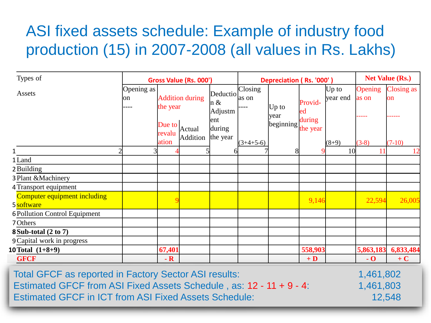# ASI fixed assets schedule: Example of industry food production (15) in 2007-2008 (all values in Rs. Lakhs)

| Types of                                   | Gross Value (Rs. 000') |                           |                        |                            | Depreciation (Rs. '000') |                |                    |                     | <b>Net Value (Rs.)</b> |                                |
|--------------------------------------------|------------------------|---------------------------|------------------------|----------------------------|--------------------------|----------------|--------------------|---------------------|------------------------|--------------------------------|
| Assets                                     | Opening as<br>on       | the year                  | <b>Addition during</b> | Deductio<br>n &<br>Adjustm | Closing<br>as on         | Up to<br>year  | Provid-<br>ed      | $Up$ to<br>year end | Opening<br>as on       | <b>Closing as</b><br><b>on</b> |
|                                            |                        | Due to<br>revalu<br>ation | Actual<br>Addition     | ent<br>during<br>the year  | $(3+4+5-6)$              | beginning      | during<br>the year | $(8+9)$             | $(3-8)$                | $(7-10)$                       |
|                                            | $\overline{3}$<br>າ    |                           |                        |                            |                          | 8 <sup>l</sup> |                    | 10                  | 11                     | 12                             |
| 1 Land                                     |                        |                           |                        |                            |                          |                |                    |                     |                        |                                |
| 2 Building                                 |                        |                           |                        |                            |                          |                |                    |                     |                        |                                |
| 3 Plant & Machinery                        |                        |                           |                        |                            |                          |                |                    |                     |                        |                                |
| 4 Transport equipment                      |                        |                           |                        |                            |                          |                |                    |                     |                        |                                |
| Computer equipment including<br>5 software |                        |                           |                        |                            |                          |                | 9,146              |                     | 22,594                 | 26,005                         |
| <b>6 Pollution Control Equipment</b>       |                        |                           |                        |                            |                          |                |                    |                     |                        |                                |
| 7 Others                                   |                        |                           |                        |                            |                          |                |                    |                     |                        |                                |
| <b>8 Sub-total (2 to 7)</b>                |                        |                           |                        |                            |                          |                |                    |                     |                        |                                |
| 9 Capital work in progress                 |                        |                           |                        |                            |                          |                |                    |                     |                        |                                |
| 10 Total $(1+8+9)$                         |                        | 67,401                    |                        |                            |                          |                | 558,903            |                     | 5,863,183              | 6,833,484                      |
| <b>GFCF</b>                                |                        | $- R$                     |                        |                            |                          |                | $+D$               |                     | $\overline{\bf 0}$     | $+C$                           |

Total GFCF as reported in Factory Sector ASI results: 1,461,802 Estimated GFCF from ASI Fixed Assets Schedule, as:  $12 - 11 + 9 - 4$ : 1,461,803 Estimated GFCF in ICT from ASI Fixed Assets Schedule: 12,548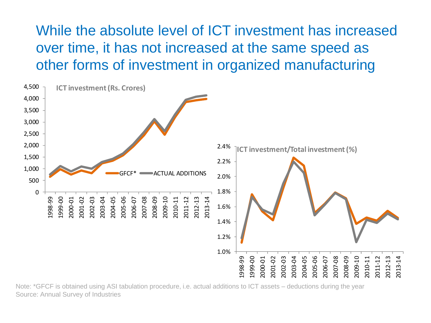While the absolute level of ICT investment has increased over time, it has not increased at the same speed as other forms of investment in organized manufacturing



Note: \*GFCF is obtained using ASI tabulation procedure, i.e. actual additions to ICT assets – deductions during the year Source: Annual Survey of Industries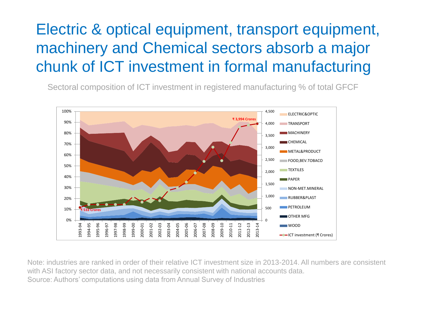# Electric & optical equipment, transport equipment, machinery and Chemical sectors absorb a major chunk of ICT investment in formal manufacturing

Sectoral composition of ICT investment in registered manufacturing % of total GFCF



Note: industries are ranked in order of their relative ICT investment size in 2013-2014. All numbers are consistent with ASI factory sector data, and not necessarily consistent with national accounts data. Source: Authors' computations using data from Annual Survey of Industries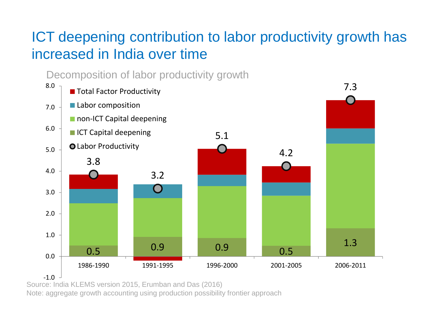# ICT deepening contribution to labor productivity growth has increased in India over time



Source: India KLEMS version 2015, Erumban and Das (2016)

Note: aggregate growth accounting using production possibility frontier approach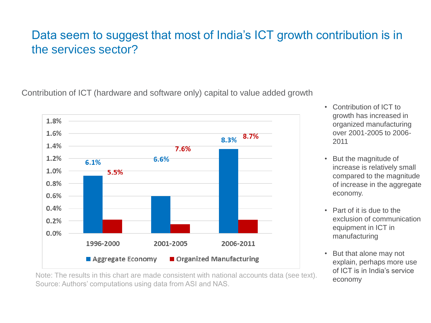#### Data seem to suggest that most of India's ICT growth contribution is in the services sector?

Contribution of ICT (hardware and software only) capital to value added growth



- Contribution of ICT to growth has increased in organized manufacturing over 2001-2005 to 2006- 2011
- But the magnitude of increase is relatively small compared to the magnitude of increase in the aggregate economy.
- Part of it is due to the exclusion of communication equipment in ICT in manufacturing
- But that alone may not explain, perhaps more use of ICT is in India's service economy

Note: The results in this chart are made consistent with national accounts data (see text). Source: Authors' computations using data from ASI and NAS.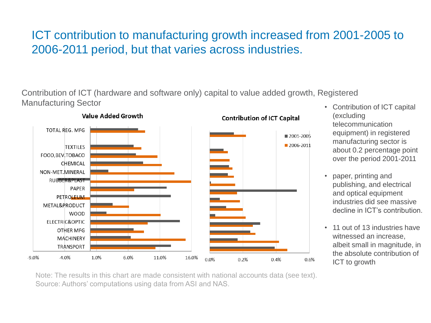#### ICT contribution to manufacturing growth increased from 2001-2005 to 2006-2011 period, but that varies across industries.

Contribution of ICT (hardware and software only) capital to value added growth, Registered Manufacturing Sector



#### • Contribution of ICT capital (excluding telecommunication equipment) in registered manufacturing sector is about 0.2 percentage point over the period 2001-2011

- paper, printing and publishing, and electrical and optical equipment industries did see massive decline in ICT's contribution.
- 11 out of 13 industries have witnessed an increase, albeit small in magnitude, in the absolute contribution of ICT to growth

Note: The results in this chart are made consistent with national accounts data (see text). Source: Authors' computations using data from ASI and NAS.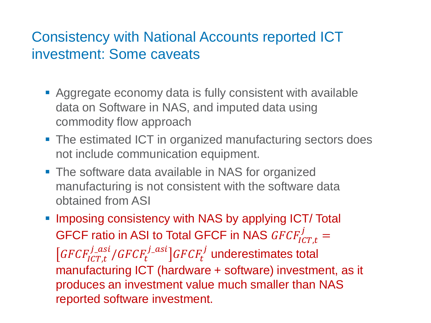## Consistency with National Accounts reported ICT investment: Some caveats

- **EXAGGREGATE EXAGGREE CONOMY data is fully consistent with available** data on Software in NAS, and imputed data using commodity flow approach
- The estimated ICT in organized manufacturing sectors does not include communication equipment.
- **The software data available in NAS for organized** manufacturing is not consistent with the software data obtained from ASI
- **.** Imposing consistency with NAS by applying ICT/ Total GFCF ratio in ASI to Total GFCF in NAS  $GFCF_{ICT, t}^j =$  $GFCF^{j\_asi}_{ICT,t}/GFCF^{j\_asi}_t] GFCF^{j}_t$  underestimates total manufacturing ICT (hardware + software) investment, as it produces an investment value much smaller than NAS reported software investment.